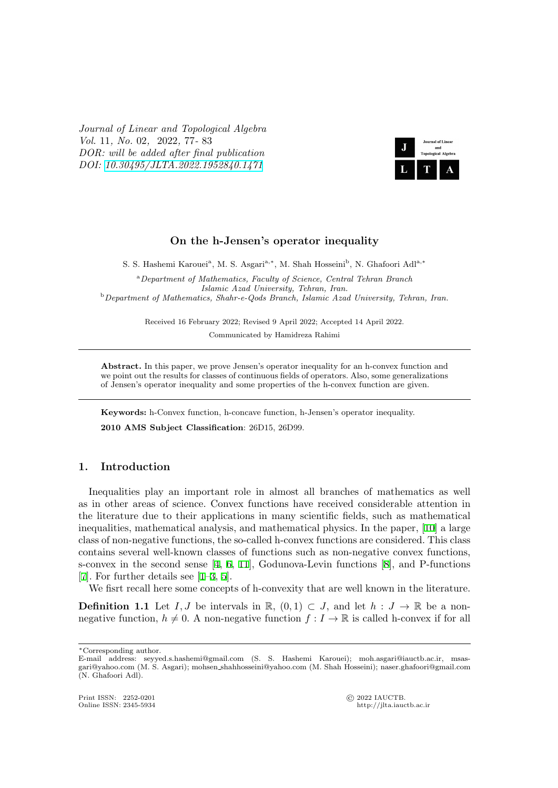*Journal of Linear and Topological Algebra Vol.* 11*, No.* 02*,* 2022*,* 77*-* 83 *DOR: will be added after final publication DOI: 10.30495/JLTA.2022.1952840.1471*



## **On the h-Jensen's operator inequality**

S. S. Hashemi Karouei<sup>a</sup>, M. S. Asgari<sup>a,</sup><sup>\*</sup>, M. Shah Hosseini<sup>b</sup>, N. Ghafoori Adl<sup>a,\*</sup>

<sup>a</sup>*Department of Mathematics, Faculty of Science, Central Tehran Branch Islamic Azad University, Tehran, Iran.* <sup>b</sup>*Department of Mathematics, Shahr-e-Qods Branch, Islamic Azad University, Tehran, Iran.*

Received 16 February 2022; Revised 9 April 2022; Accepted 14 April 2022.

Communicated by Hamidreza Rahimi

Abstract. In this paper, we prove Jensen's operator inequality for an h-convex function and we point out the results for classes of continuous fields of operators. Also, some generalizations of Jensen's operator inequality and some properties of the h-convex function are given.

**Keywords:** h-Convex function, h-concave function, h-Jensen's operator inequality.

**2010 AMS Subject Classification**: 26D15, 26D99.

## **1. Introduction**

Inequalities play an important role in almost all branches of mathematics as well as in other areas of science. Convex functions have received considerable attention in the literature due to their applications in many scientific fields, such as mathematical inequalities, mathematical analysis, and mathematical physics. In the paper, [10] a large class of non-negative functions, the so-called h-convex functions are considered. This class contains several well-known classes of functions such as non-negative convex functions, s-convex in the second sense [4, 6, 11], Godunova-Levin functions [8], and P-functions [7]. For further details see [1–3, 5].

We fisrt recall here some concepts of h-convexity that are well known in the literature.

**Definition 1.1** Let *I*, *J* be i[nt](#page-6-0)[erv](#page-6-1)[als](#page-6-2) in  $\mathbb{R}$ ,  $(0,1) \subset J$ , and let  $h: J \to \mathbb{R}$  be a non[ne](#page-6-4)gative functi[on](#page-6-6),  $h \neq 0$ . [A n](#page-6-5)on[-n](#page-6-7)egative function  $f: I \to \mathbb{R}$  is calle[d](#page-6-3) h-convex if for all

http://jlta.iauctb.ac.ir

*<sup>∗</sup>*Corresponding author.

E-mail address: seyyed.s.hashemi@gmail.com (S. S. Hashemi Karouei); moh.asgari@iauctb.ac.ir, msasgari@yahoo.com (M. S. Asgari); mohsen shahhosseini@yahoo.com (M. Shah Hosseini); naser.ghafoori@gmail.com (N. Ghafoori Adl).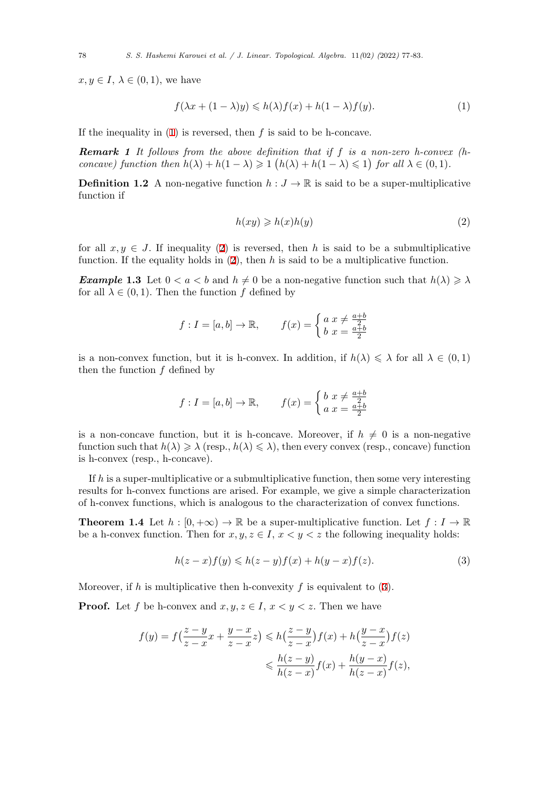$x, y \in I, \lambda \in (0, 1)$ , we have

<span id="page-1-0"></span>
$$
f(\lambda x + (1 - \lambda)y) \le h(\lambda)f(x) + h(1 - \lambda)f(y).
$$
 (1)

If the inequality in (1) is reversed, then *f* is said to be h-concave.

*Remark 1 It follows from the above definition that if f is a non-zero h-convex (hconcave)* function then  $h(\lambda) + h(1 - \lambda) \geq 1$   $(h(\lambda) + h(1 - \lambda) \leq 1)$  for all  $\lambda \in (0, 1)$ *.* 

**Definition 1.2** A [no](#page-1-0)n-negative function  $h: J \to \mathbb{R}$  is said to be a super-multiplicative function if

<span id="page-1-1"></span>
$$
h(xy) \geqslant h(x)h(y) \tag{2}
$$

for all  $x, y \in J$ . If inequality (2) is reversed, then h is said to be a submultiplicative function. If the equality holds in (2), then *h* is said to be a multiplicative function.

*Example* 1.3 Let  $0 < a < b$  and  $h \neq 0$  be a non-negative function such that  $h(\lambda) \geq \lambda$ for all  $\lambda \in (0,1)$ . Then the func[ti](#page-1-1)on f defined by

$$
f: I = [a, b] \to \mathbb{R}, \qquad f(x) = \begin{cases} a x \neq \frac{a+b}{2} \\ b x = \frac{a+b}{2} \end{cases}
$$

is a non-convex function, but it is h-convex. In addition, if  $h(\lambda) \leq \lambda$  for all  $\lambda \in (0,1)$ then the function *f* defined by

$$
f: I = [a, b] \to \mathbb{R}, \qquad f(x) = \begin{cases} b & x \neq \frac{a+b}{2} \\ a & x = \frac{a+b}{2} \end{cases}
$$

is a non-concave function, but it is h-concave. Moreover, if  $h \neq 0$  is a non-negative function such that  $h(\lambda) \geqslant \lambda$  (resp.,  $h(\lambda) \leqslant \lambda$ ), then every convex (resp., concave) function is h-convex (resp., h-concave).

If *h* is a super-multiplicative or a submultiplicative function, then some very interesting results for h-convex functions are arised. For example, we give a simple characterization of h-convex functions, which is analogous to the characterization of convex functions.

**Theorem 1.4** Let  $h : [0, +\infty) \to \mathbb{R}$  be a super-multiplicative function. Let  $f : I \to \mathbb{R}$ be a h-convex function. Then for  $x, y, z \in I$ ,  $x < y < z$  the following inequality holds:

<span id="page-1-2"></span>
$$
h(z-x)f(y) \leqslant h(z-y)f(x) + h(y-x)f(z). \tag{3}
$$

Moreover, if *h* is multiplicative then h-convexity *f* is equivalent to (3).

**Proof.** Let *f* be h-convex and  $x, y, z \in I$ ,  $x < y < z$ . Then we have

$$
f(y) = f\left(\frac{z-y}{z-x}x + \frac{y-x}{z-x}z\right) \leq h\left(\frac{z-y}{z-x}\right)f(x) + h\left(\frac{y-x}{z-x}\right)f(z)
$$

$$
\leq h(z-y)f(x) + \frac{h(y-x)}{h(z-x)}f(z),
$$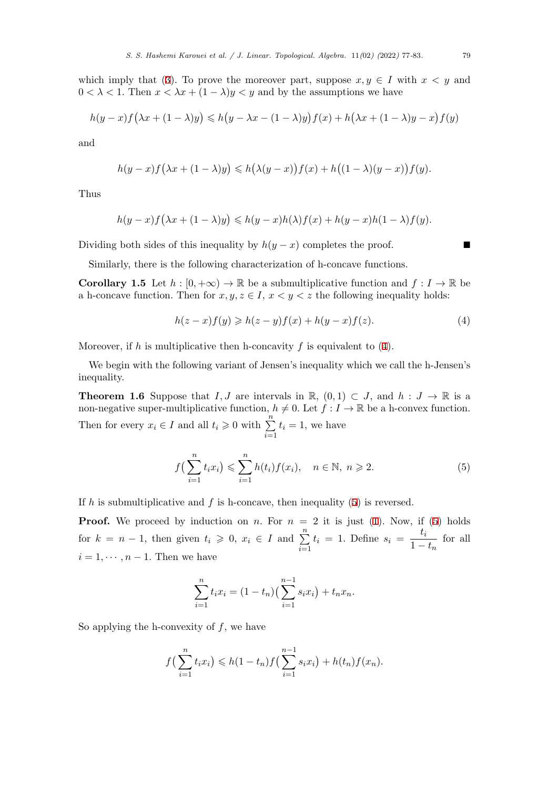which imply that (3). To prove the moreover part, suppose  $x, y \in I$  with  $x < y$  and  $0 < \lambda < 1$ . Then  $x < \lambda x + (1 - \lambda)y < y$  and by the assumptions we have

$$
h(y-x)f(\lambda x + (1-\lambda)y) \leq h(y-\lambda x - (1-\lambda)y)f(x) + h(\lambda x + (1-\lambda)y - x)f(y)
$$

and

$$
h(y-x)f(\lambda x+(1-\lambda)y)\leq h(\lambda(y-x))f(x)+h((1-\lambda)(y-x))f(y).
$$

Thus

$$
h(y-x)f\big(\lambda x+(1-\lambda)y\big)\leqslant h(y-x)h(\lambda)f(x)+h(y-x)h(1-\lambda)f(y).
$$

Dividing both sides of this inequality by  $h(y-x)$  completes the proof. ■

Similarly, there is the following characterization of h-concave functions.

**Corollary 1.5** Let  $h : [0, +\infty) \to \mathbb{R}$  be a submultiplicative function and  $f : I \to \mathbb{R}$  be a h-concave function. Then for  $x, y, z \in I$ ,  $x < y < z$  the following inequality holds:

<span id="page-2-0"></span>
$$
h(z-x)f(y) \geqslant h(z-y)f(x) + h(y-x)f(z). \tag{4}
$$

Moreover, if *h* is multiplicative then h-concavity *f* is equivalent to (4).

We begin with the following variant of Jensen's inequality which we call the h-Jensen's inequality.

**Theorem 1.6** Suppose that *I, J* are i[n](#page-2-0)tervals in R,  $(0,1) \subset J$ , and  $h : J \to \mathbb{R}$  is a non-negative super-multiplicative function,  $h \neq 0$ . Let  $f : I \to \mathbb{R}$  be a h-convex function. Then for every  $x_i \in I$  and all  $t_i \geq 0$  with  $\sum_{i=1}^{n}$ *i*=1  $t_i = 1$ , we have

$$
f\left(\sum_{i=1}^{n} t_i x_i\right) \leqslant \sum_{i=1}^{n} h(t_i) f(x_i), \quad n \in \mathbb{N}, \ n \geqslant 2. \tag{5}
$$

If *h* is submultiplicative and *f* is h-concave, then inequality (5) is reversed.

**Proof.** We proceed by induction on *n*. For  $n = 2$  it is just (1). Now, if (5) holds for  $k = n - 1$ , then given  $t_i \geqslant 0, x_i \in I$  and  $\sum_{i=1}^{n}$ *i*=1  $t_i = 1$ . Define  $s_i = \frac{t_i}{1}$  $\frac{v_i}{1 - t_n}$  for all  $i = 1, \dots, n-1$ . Then we have

$$
\sum_{i=1}^{n} t_i x_i = (1 - t_n) \left( \sum_{i=1}^{n-1} s_i x_i \right) + t_n x_n.
$$

So applying the h-convexity of *f*, we have

$$
f\left(\sum_{i=1}^n t_i x_i\right) \leq h(1-t_n) f\left(\sum_{i=1}^{n-1} s_i x_i\right) + h(t_n) f(x_n).
$$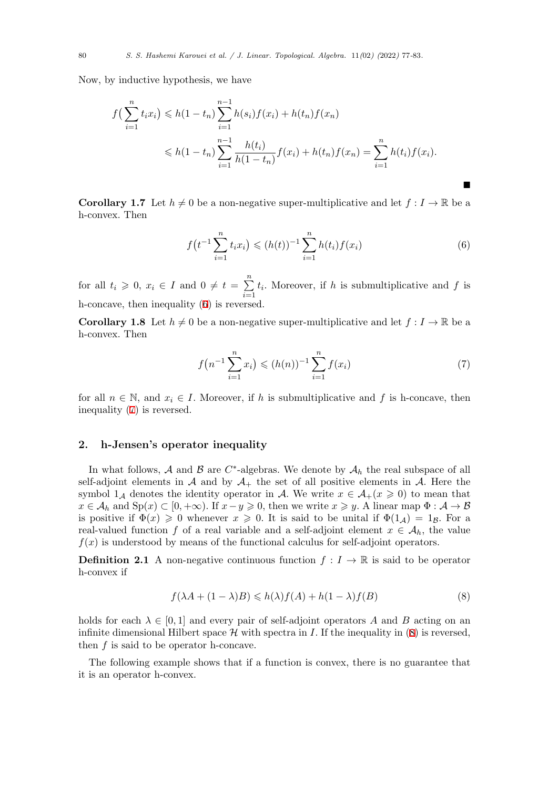Now, by inductive hypothesis, we have

$$
f\left(\sum_{i=1}^{n} t_i x_i\right) \leq h(1-t_n) \sum_{i=1}^{n-1} h(s_i) f(x_i) + h(t_n) f(x_n)
$$
  

$$
\leq h(1-t_n) \sum_{i=1}^{n-1} \frac{h(t_i)}{h(1-t_n)} f(x_i) + h(t_n) f(x_n) = \sum_{i=1}^{n} h(t_i) f(x_i).
$$

**Corollary 1.7** Let  $h \neq 0$  be a non-negative super-multiplicative and let  $f: I \to \mathbb{R}$  be a h-convex. Then

$$
f\left(t^{-1}\sum_{i=1}^{n}t_{i}x_{i}\right) \leqslant (h(t))^{-1}\sum_{i=1}^{n}h(t_{i})f(x_{i})
$$
\n(6)

■

for all  $t_i \geqslant 0, x_i \in I$  and  $0 \neq t = \sum^n$ *i*=1  $t_i$ . Moreover, if *h* is submultiplicative and *f* is h-concave, then inequality (6) is reversed.

**Corollary 1.8** Let  $h \neq 0$  be a non-negative super-multiplicative and let  $f: I \to \mathbb{R}$  be a h-convex. Then

$$
f(n^{-1}\sum_{i=1}^{n}x_i) \leq (h(n))^{-1}\sum_{i=1}^{n}f(x_i)
$$
 (7)

for all  $n \in \mathbb{N}$ , and  $x_i \in I$ . Moreover, if h is submultiplicative and f is h-concave, then inequality (7) is reversed.

## **2. h-Jensen's operator inequality**

In what follows,  $A$  and  $B$  are  $C^*$ -algebras. We denote by  $A_h$  the real subspace of all self-adjoint elements in  $\mathcal A$  and by  $\mathcal A_+$  the set of all positive elements in  $\mathcal A$ . Here the symbol  $1_A$  denotes the identity operator in *A*. We write  $x \in A_+(x \geq 0)$  to mean that  $x \in A_h$  and  $\text{Sp}(x) \subset [0, +\infty)$ . If  $x - y \geq 0$ , then we write  $x \geq y$ . A linear map  $\Phi : A \to B$ is positive if  $\Phi(x) \geq 0$  whenever  $x \geq 0$ . It is said to be unital if  $\Phi(1_{\mathcal{A}}) = 1_{\mathcal{B}}$ . For a real-valued function *f* of a real variable and a self-adjoint element  $x \in A_h$ , the value  $f(x)$  is understood by means of the functional calculus for self-adjoint operators.

**Definition 2.1** A non-negative continuous function  $f: I \to \mathbb{R}$  is said to be operator h-convex if

$$
f(\lambda A + (1 - \lambda)B) \leq h(\lambda)f(A) + h(1 - \lambda)f(B)
$$
\n(8)

holds for each  $\lambda \in [0,1]$  and every pair of self-adjoint operators A and B acting on an infinite dimensional Hilbert space  $\mathcal H$  with spectra in *I*. If the inequality in (8) is reversed, then *f* is said to be operator h-concave.

The following example shows that if a function is convex, there is no guarantee that it is an operator h-convex.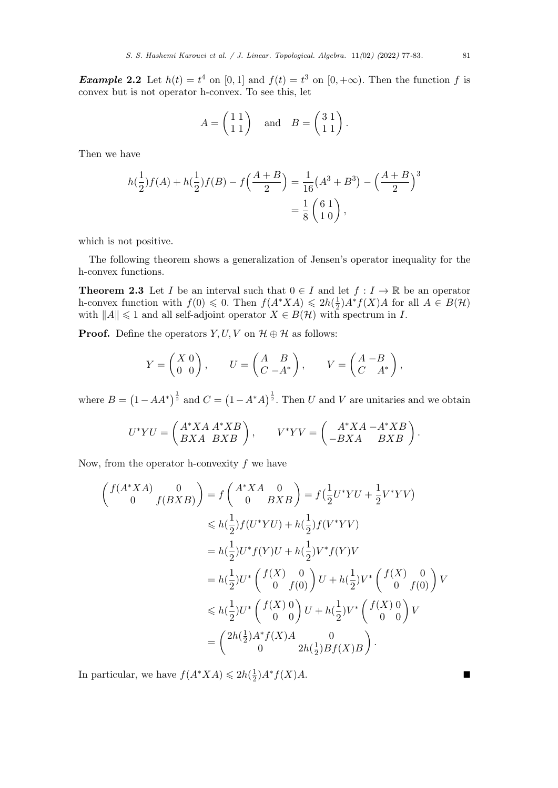*Example* 2.2 Let  $h(t) = t^4$  on [0, 1] and  $f(t) = t^3$  on [0, + $\infty$ ). Then the function *f* is convex but is not operator h-convex. To see this, let

$$
A = \begin{pmatrix} 1 & 1 \\ 1 & 1 \end{pmatrix} \quad \text{and} \quad B = \begin{pmatrix} 3 & 1 \\ 1 & 1 \end{pmatrix}.
$$

Then we have

$$
h(\frac{1}{2})f(A) + h(\frac{1}{2})f(B) - f(\frac{A+B}{2}) = \frac{1}{16}(A^3 + B^3) - (\frac{A+B}{2})^3
$$
  
=  $\frac{1}{8}(\frac{6}{10}),$ 

which is not positive.

<span id="page-4-0"></span>The following theorem shows a generalization of Jensen's operator inequality for the h-convex functions.

**Theorem 2.3** Let *I* be an interval such that  $0 \in I$  and let  $f: I \to \mathbb{R}$  be an operator h-convex function with  $f(0) \leq 0$ . Then  $f(A^*XA) \leq 2h(\frac{1}{2})$  $\frac{1}{2}$ )*A*<sup>\*</sup>*f*(*X*)*A* for all *A* ∈ *B*(*H*) with  $||A|| \le 1$  and all self-adjoint operator  $X \in B(H)$  with spectrum in *I*.

**Proof.** Define the operators  $Y, U, V$  on  $\mathcal{H} \oplus \mathcal{H}$  as follows:

$$
Y = \begin{pmatrix} X & 0 \\ 0 & 0 \end{pmatrix}, \qquad U = \begin{pmatrix} A & B \\ C & -A^* \end{pmatrix}, \qquad V = \begin{pmatrix} A & -B \\ C & A^* \end{pmatrix},
$$

where  $B = (1 - AA^*)^{\frac{1}{2}}$  and  $C = (1 - A^*A)^{\frac{1}{2}}$ . Then *U* and *V* are unitaries and we obtain

$$
U^*YU = \begin{pmatrix} A^*XA & A^*XB \\ BXA & BXB \end{pmatrix}, \qquad V^*YV = \begin{pmatrix} A^*XA - A^*XB \\ -BXA & BXB \end{pmatrix}.
$$

Now, from the operator h-convexity *f* we have

$$
\begin{aligned}\n\left(\begin{array}{c}\nf(A^*XA) & 0 \\
0 & f(BXB)\n\end{array}\right) &= f\left(\begin{array}{c}\nA^*XA & 0 \\
0 & BXB\n\end{array}\right) = f\left(\frac{1}{2}U^*YU + \frac{1}{2}V^*YV\right) \\
&\leq h\left(\frac{1}{2}\right)f(U^*YU) + h\left(\frac{1}{2}\right)f(V^*YV) \\
&= h\left(\frac{1}{2}\right)U^*f(Y)U + h\left(\frac{1}{2}\right)V^*f(Y)V \\
&= h\left(\frac{1}{2}\right)U^*\left(\begin{array}{c}\nf(X) & 0 \\
0 & f(0)\n\end{array}\right)U + h\left(\frac{1}{2}\right)V^*\left(\begin{array}{c}\nf(X) & 0 \\
0 & f(0)\n\end{array}\right)V \\
&\leq h\left(\frac{1}{2}\right)U^*\left(\begin{array}{c}\nf(X) & 0 \\
0 & 0\n\end{array}\right)U + h\left(\frac{1}{2}\right)V^*\left(\begin{array}{c}\nf(X) & 0 \\
0 & 0\n\end{array}\right)V \\
&= \left(\begin{array}{c}\n2h\left(\frac{1}{2}\right)A^*f(X)A & 0 \\
0 & 2h\left(\frac{1}{2}\right)Bf(X)B\n\end{array}\right).\n\end{aligned}
$$

In particular, we have  $f(A^*XA) \leq 2h(\frac{1}{2})$  $\frac{1}{2}$ ) $A^* f(X) A$ .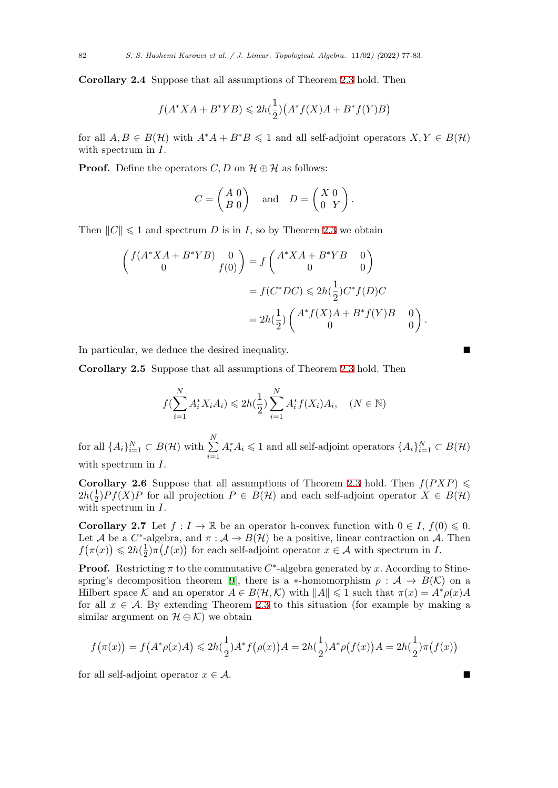**Corollary 2.4** Suppose that all assumptions of Theorem 2.3 hold. Then

$$
f(A^*XA + B^*YB) \le 2h(\frac{1}{2})\left(A^*f(X)A + B^*f(Y)B\right)
$$

for all  $A, B \in B(\mathcal{H})$  with  $A^*A + B^*B \leq 1$  and all self-adjoint operators  $X, Y \in B(\mathcal{H})$ with spectrum in *I*.

**Proof.** Define the operators *C*, *D* on  $\mathcal{H} \oplus \mathcal{H}$  as follows:

$$
C = \begin{pmatrix} A & 0 \\ B & 0 \end{pmatrix} \quad \text{and} \quad D = \begin{pmatrix} X & 0 \\ 0 & Y \end{pmatrix}.
$$

Then  $||C|| \leq 1$  and spectrum *D* is in *I*, so by Theoren 2.3 we obtain

$$
\begin{pmatrix}\nf(A^*XA + B^*YB) & 0 \\
0 & f(0)\n\end{pmatrix} = f\begin{pmatrix}\nA^*XA + B^*YB & 0 \\
0 & 0\n\end{pmatrix}
$$
\n
$$
= f(C^*DC) \le 2h(\frac{1}{2})C^*f(D)C
$$
\n
$$
= 2h(\frac{1}{2})\begin{pmatrix}\nA^*f(X)A + B^*f(Y)B & 0 \\
0 & 0\n\end{pmatrix}
$$

In particular, we deduce the desired inequality.

**Corollary 2.5** Suppose that all assumptions of Theorem 2.3 hold. Then

$$
f(\sum_{i=1}^{N} A_i^* X_i A_i) \leq 2h(\frac{1}{2}) \sum_{i=1}^{N} A_i^* f(X_i) A_i, \quad (N \in \mathbb{N})
$$

for all  $\{A_i\}_{i=1}^N \subset B(\mathcal{H})$  with  $\sum^N$ *i*=1  $A_i^* A_i \leq 1$  and all self-adjoint operators  $\{A_i\}_{i=1}^N \subset B(\mathcal{H})$ with spectrum in *I*.

**Corollary 2.6** Suppose that all assumptions of Theorem 2.3 hold. Then  $f(PXP) \leq$  $2h(\frac{1}{2})$  $\frac{1}{2}$ )*Pf*(*X*)*P* for all projection  $P \in B(H)$  and each self-adjoint operator  $X \in B(H)$ with spectrum in *I*.

**Corollary 2.7** Let  $f: I \to \mathbb{R}$  be an operator h-convex fu[nctio](#page-4-0)n with  $0 \in I$ ,  $f(0) \leq 0$ . Let *A* be a *C*<sup>\*</sup>-algebra, and  $\pi$  :  $A \to B(\mathcal{H})$  be a positive, linear contraction on *A*. Then  $f(\pi(x)) \leq 2h(\frac{1}{2})$  $\frac{1}{2}$ ) $\pi(f(x))$  for each self-adjoint operator  $x \in \mathcal{A}$  with spectrum in *I*.

**Proof.** Restricting  $\pi$  to the commutative  $C^*$ -algebra generated by *x*. According to Stinespring's decomposition theorem [9], there is a *\**-homomorphism  $\rho : A \rightarrow B(K)$  on a Hilbert space  $K$  and an operator  $A \in B(H, K)$  with  $||A|| \leq 1$  such that  $\pi(x) = A^* \rho(x) A$ for all  $x \in A$ . By extending Theorem 2.3 to this situation (for example by making a similar argument on  $\mathcal{H} \oplus \mathcal{K}$  we obtain

$$
f(\pi(x)) = f(A^*\rho(x)A) \le 2h(\frac{1}{2})A^*f(\rho(x))A = 2h(\frac{1}{2})A^*\rho(f(x))A = 2h(\frac{1}{2})\pi(f(x))
$$

for all self-adjoint operator  $x \in A$ .

*.*